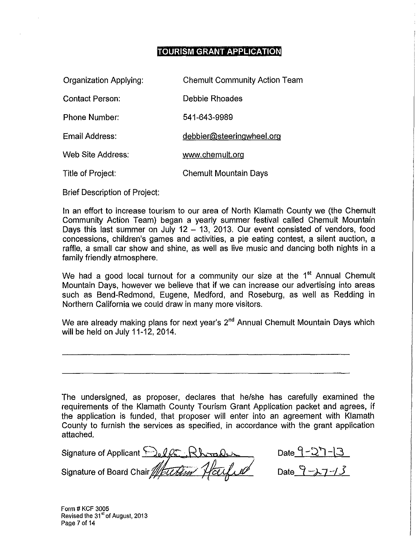### **TOURISM GRANT APPLICATION**

| Organization Applying: | <b>Chemult Community Action Team</b> |
|------------------------|--------------------------------------|
| <b>Contact Person:</b> | Debbie Rhoades                       |
| <b>Phone Number:</b>   | 541-643-9989                         |
| Email Address:         | debbier@steeringwheel.org            |
| Web Site Address.      | www.chemult.org                      |
| Title of Project:      | Chemult Mountain Days                |

Brief Description of Project:

In an effort to increase tourism to our area of North Klamath County we (the Chemult Community Action Team) began a yearly summer festival called Chemult Mountain Days this last summer on July 12  $-$  13, 2013. Our event consisted of vendors, food concessions, children's games and activities, a pie eating contest, a silent auction, a raffle, a small car show and shine, as well as live music and dancing both nights in a family friendly atmosphere.

We had a good local turnout for a community our size at the  $1<sup>st</sup>$  Annual Chemult Mountain Days, however we believe that if we can increase our advertising into areas such as Bend-Redmond, Eugene, Medford, and Roseburg, as well as Redding in Northern California we could draw in many more visitors.

We are already making plans for next year's 2<sup>nd</sup> Annual Chemult Mountain Days which will be held on July 11-12, 2014.

The undersigned, as proposer, declares that he/she has carefully examined the requirements of the Klamath County Tourism Grant Application packet and agrees, if the application is funded, that proposer will enter into an agreement with Klamath County to furnish the services as specified, in accordance with the grant application attached.

Signature of Applicant ~Jelf ( Khrade ) Signature of Board Chair $\mathbb Z$ EUE

Date  $9 - 1$ 

Date  $9 - 1 / 3$ 

Form # KCF 3005 Revised the 31<sup>st</sup> of August, 2013 Page 7 of 14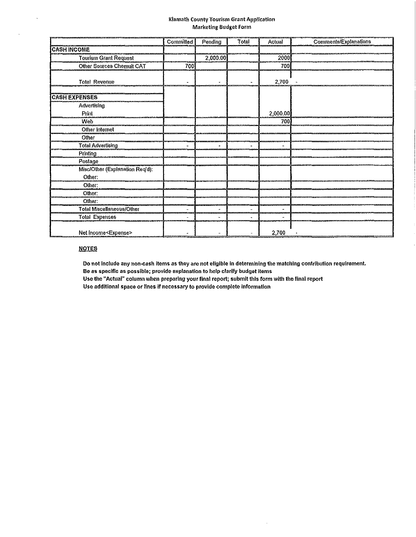### Klamath County Tourism Grant Application Marketing Budget Form

|                                  | <b>Committed</b> | Pending  | Total | Actual   | <b>Comments/Explanations</b> |
|----------------------------------|------------------|----------|-------|----------|------------------------------|
| <b>CASH INCOME</b>               |                  |          |       |          |                              |
| <b>Tourism Grant Request</b>     |                  | 2,000.00 |       | 2000     |                              |
| <b>Other Sources Chemult CAT</b> | 700              |          |       | 700      |                              |
|                                  |                  |          |       |          |                              |
| <b>Total Revenue</b>             |                  |          |       | 2,700    |                              |
| <b>CASH EXPENSES</b>             |                  |          |       |          |                              |
| Advertising                      |                  |          |       |          |                              |
| Print                            |                  |          |       | 2,000.00 |                              |
| Web                              |                  |          |       | 700      |                              |
| Other Internet                   |                  |          |       |          |                              |
| Other                            |                  |          |       |          |                              |
| <b>Total Advertising</b>         |                  |          |       |          |                              |
| Printing                         |                  |          |       |          |                              |
| Postage                          |                  |          |       |          |                              |
| Misc/Other (Explanation Req'd):  |                  |          |       |          |                              |
| Other.                           |                  |          |       |          |                              |
| Other:                           |                  |          |       |          |                              |
| Other:                           |                  |          |       |          |                              |
| Other:                           |                  |          |       |          |                              |
| <b>Total Miscellaneous/Other</b> |                  | ÷        |       |          |                              |
| <b>Total Expenses</b>            |                  |          |       |          |                              |
| Net income <expense></expense>   |                  |          |       | 2,700    |                              |

### **NOTES**

 $\mathbf{v}_\mathrm{c}$ 

 $\Delta \phi$ 

Do not include any non-cash items as they are not eligible in determining the matching contribution requirement. Be as specific as possible; provide explanation to help clarify budget items Use the "Actual" column when preparing your final report; submit this form with the final report

Use additional space or lines if necessary to provide complete infonnation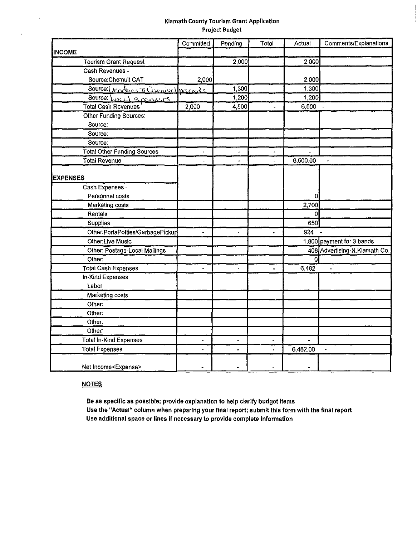### Klamath County Tourism Grant Application Project Budget

|                                    | Committed      | Pending              | Total                    | Actual         | Comments/Explanations          |
|------------------------------------|----------------|----------------------|--------------------------|----------------|--------------------------------|
| <b>INCOME</b>                      |                |                      |                          |                |                                |
| <b>Tourism Grant Request</b>       |                | 2,000                |                          | 2,000          |                                |
| Cash Revenues -                    |                |                      |                          |                |                                |
| Source: Chemult CAT                | 2,000          |                      |                          | 2,000          |                                |
| Source: Ventors & Carnivalprance   |                | 1,300                |                          | 1,300          |                                |
| Source: Local Spansers             |                | 1,200                |                          | 1,200          |                                |
| <b>Total Cash Revenues</b>         | 2,000          | 4,500                | $\overline{\phantom{a}}$ | $6,500 -$      |                                |
| Other Funding Sources:             |                |                      |                          |                |                                |
| Source:                            |                |                      |                          |                |                                |
| Source:                            |                |                      |                          |                |                                |
| Source:                            |                |                      |                          |                |                                |
| <b>Total Other Funding Sources</b> | u.             | ä,                   | ٠                        | $\overline{a}$ |                                |
| <b>Total Revenue</b>               | $\overline{a}$ | $\overline{a}$       | $\overline{a}$           | 6,500.00       |                                |
|                                    |                |                      |                          |                |                                |
| <b>EXPENSES</b>                    |                |                      |                          |                |                                |
| Cash Expenses -                    |                |                      |                          |                |                                |
| Personnel costs                    |                |                      |                          | 0              |                                |
| Marketing costs                    |                |                      |                          | 2,700          |                                |
| Rentals                            |                |                      |                          | $\theta$       |                                |
| <b>Supplies</b>                    |                |                      |                          | 650            |                                |
| Other:PortaPotties/GarbagePickup   | ٠              | $\Delta$             | k.                       | 924            |                                |
| <b>Other:Live Music</b>            |                |                      |                          |                | 1,800 payment for 3 bands      |
| Other: Postage-Local Mailings      |                |                      |                          |                | 408 Advertising-N. Klamath Co. |
| Other:                             |                |                      |                          | οI             |                                |
| <b>Total Cash Expenses</b>         | ä,             | $\ddot{\phantom{1}}$ |                          | 6,482          | $\ddot{ }$                     |
| In-Kind Expenses                   |                |                      |                          |                |                                |
| Labor                              |                |                      |                          |                |                                |
| Marketing costs                    |                |                      |                          |                |                                |
| Other:                             |                |                      |                          |                |                                |
| Other:                             |                |                      |                          |                |                                |
| Other:                             |                |                      |                          |                |                                |
| Other:                             |                |                      |                          |                |                                |
| <b>Total In-Kind Expenses</b>      | L.             |                      | -                        |                |                                |
| <b>Total Expenses</b>              | $\overline{a}$ |                      |                          | 6,482.00       |                                |
| Net Income <expense></expense>     |                |                      |                          |                |                                |

### **NOTES**

 $\sim$   $\sim$ 

 $\chi_{\rm{max}}$ 

Be as specific as possible; provide explanation to help clarify budget Items Use the "Actual" column when preparing your final report; submit this form with the final report Use additional space or lines If necessary to provide complete Information

 $\sim$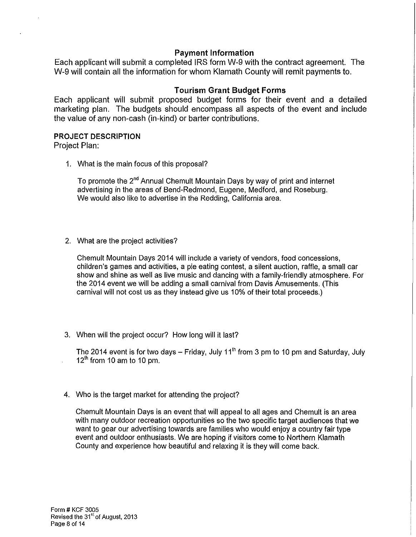### **Payment Information**

Each applicant will submit a completed IRS form W-9 with the contract agreement. The W-9 will contain all the information for whom Klamath County will remit payments to.

### **Tourism Grant Budget Forms**

Each applicant will submit proposed budget forms for their event and a detailed marketing plan. The budgets should encompass all aspects of the event and include the value of any non-cash (in-kind) or barter contributions.

### **PROJECT DESCRIPTION**

Project Plan:

1. What is the main focus of this proposal?

To promote the 2"d Annual Chemult Mountain Days by way of print and internet advertising in the areas of Bend-Redmond, Eugene, Medford, and Roseburg. We would also like to advertise in the Redding, California area.

2. What are the project activities?

Chemult Mountain Days 2014 will include a variety of vendors, food concessions, children's games and activities, a pie eating contest, a silent auction, raffle, a small car show and shine as well as live music and dancing with a family-friendly atmosphere. For the 2014 event we will be adding a small carnival from Davis Amusements. (This carnival will not cost us as they instead give us 10% of their total proceeds.)

3. When will the project occur? How long will it last?

The 2014 event is for two days – Friday, July 11<sup>th</sup> from 3 pm to 10 pm and Saturday, July  $12<sup>th</sup>$  from 10 am to 10 pm.

4. Who is the target market for attending the project?

Chemult Mountain Days is an event that will appeal to all ages and Chemult is an area with many outdoor recreation opportunities so the two specific target audiences that we want to gear our advertising towards are families who would enjoy a country fair type event and outdoor enthusiasts. We are hoping if visitors come to Northern Klamath County and experience how beautiful and relaxing it is they will come back.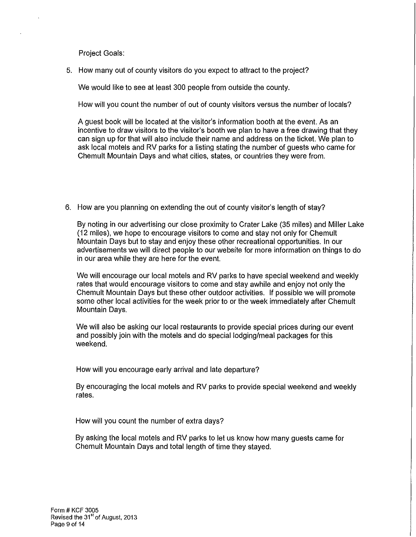Project Goals:

5. How many out of county visitors do you expect to attract to the project?

We would like to see at least 300 people from outside the county.

How will you count the number of out of county visitors versus the number of locals?

A guest book will be located at the visitor's information booth at the event. As an incentive to draw visitors to the visitor's booth we plan to have a free drawing that they can sign up for that will also include their name and address on the ticket. We plan to ask local motels and RV parks for a listing stating the number of guests who came for Chemult Mountain Days and what cities, states, or countries they were from.

6. How are you planning on extending the out of county visitor's length of stay?

By noting in our advertising our close proximity to Crater Lake (35 miles) and Miller Lake (12 miles), we hope to encourage visitors to come and stay not only for Chemult Mountain Days but to stay and enjoy these other recreational opportunities. In our advertisements we will direct people to our website for more information on things to do in our area while they are here for the event.

We will encourage our local motels and RV parks to have special weekend and weekly rates that would encourage visitors to come and stay awhile and enjoy not only the Chemult Mountain Days but these other outdoor activities. If possible we will promote some other local activities for the week prior to or the week immediately after Chemult Mountain Days.

We will also be asking our local restaurants to provide special prices during our event and possibly join with the motels and do special lodging/meal packages for this weekend.

How will you encourage early arrival and late departure?

By encouraging the local motels and RV parks to provide special weekend and weekly rates.

How will you count the number of extra days?

By asking the local motels and RV parks to let us know how many guests came for Chemult Mountain Days and total length of time they stayed.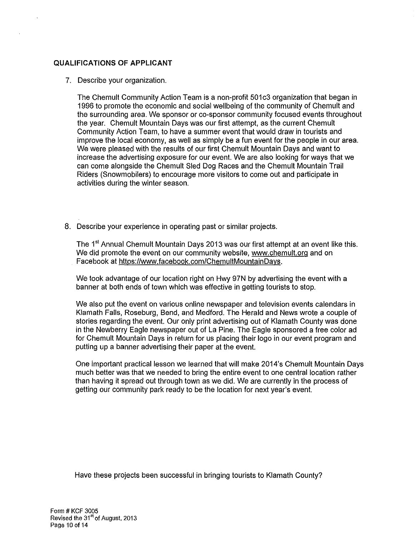### **QUALIFICATIONS OF APPLICANT**

### 7. Describe your organization.

The Chemult Community Action Team is a non-profit 501c3 organization that began in 1996 to promote the economic and social wellbeing of the community of Chemult and the surrounding area. We sponsor or co-sponsor community focused events throughout the year. Chemult Mountain Days was our first attempt, as the current Chemult Community Action Team, to have a summer event that would draw in tourists and improve the local economy, as well as simply be a fun event for the people in our area. We were pleased with the results of our first Chemult Mountain Days and want to increase the advertising exposure for our event. We are also looking for ways that we can come alongside the Chemult Sled Dog Races and the Chemult Mountain Trail Riders (Snowmobilers) to encourage more visitors to come out and participate in activities during the winter season.

8. Describe your experience in operating past or similar projects.

The 1<sup>st</sup> Annual Chemult Mountain Days 2013 was our first attempt at an event like this. We did promote the event on our community website, www.chemult.org and on Facebook at https://www.facebook.com/ChemultMountainDays.

We took advantage of our location right on Hwy 97N by advertising the event with a banner at both ends of town which was effective in getting tourists to stop.

We also put the event on various online newspaper and television events calendars in Klamath Falls, Roseburg, Bend, and Medford. The Herald and News wrote a couple of stories regarding the event. Our only print advertising out of Klamath County was done in the Newberry Eagle newspaper out of La Pine. The Eagle sponsored a free color ad for Chemult Mountain Days in return for us placing their logo in our event program and putting up a banner advertising their paper at the event.

One important practical lesson we learned that will make 2014's Chemult Mountain Days much better was that we needed to bring the entire event to one central location rather than having it spread out through town as we did. We are currently in the process of getting our community park ready to be the location for next year's event.

Have these projects been successful in bringing tourists to Klamath County?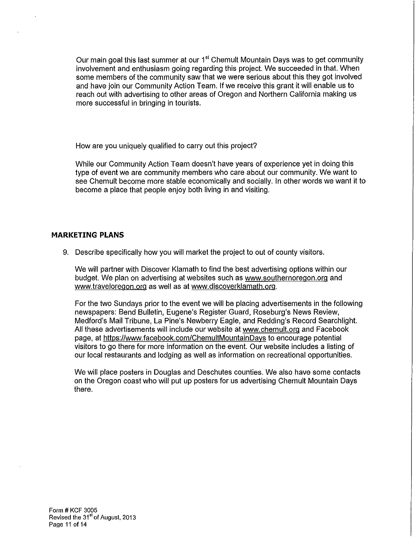Our main goal this last summer at our 1<sup>st</sup> Chemult Mountain Days was to get community involvement and enthusiasm going regarding this project. We succeeded in that. When some members of the community saw that we were serious about this they got involved and have join our Community Action Team. If we receive this grant it will enable us to reach out with advertising to other areas of Oregon and Northern California making us more successful in bringing in tourists.

How are you uniquely qualified to carry out this project?

While our Community Action Team doesn't have years of experience yet in doing this type of event we are community members who care about our community. We want to see Chemult become more stable economically and socially. In other words we want it to become a place that people enjoy both living in and visiting.

### **MARKETING PLANS**

9. Describe specifically how you will market the project to out of county visitors.

We will partner with Discover Klamath to find the best advertising options within our budget. We plan on advertising at websites such as www.southernoregon.org and www.traveloregon.org as well as at www.discoverklamath.org.

For the two Sundays prior to the event we will be placing advertisements in the following newspapers: Bend Bulletin, Eugene's Register Guard, Roseburg's News Review, Medford's Mail Tribune, La Pine's Newberry Eagle, and Redding's Record Searchlight. All these advertisements will include our website at www.chemult.org and Facebook page, at https://www. facebook.com/ChemultMountainDays to encourage potential visitors to go there for more information on the event. Our website includes a listing of our local restaurants and lodging as well as information on recreational opportunities.

We will place posters in Douglas and Deschutes counties. We also have some contacts on the Oregon coast who will put up posters for us advertising Chemult Mountain Days there.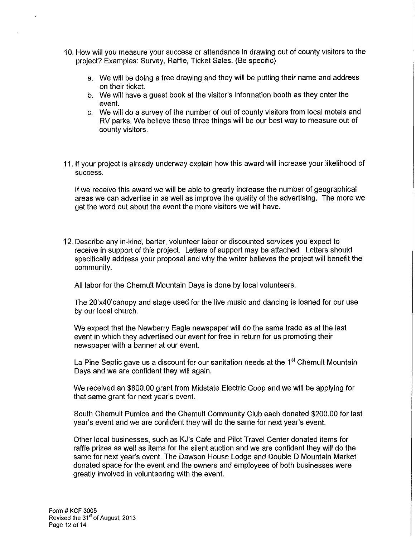- 10. How will you measure your success or attendance in drawing out of county visitors to the project? Examples: Survey, Raffle, Ticket Sales. (Be specific)
	- a. We will be doing a free drawing and they will be putting their name and address on their ticket.
	- b. We will have a guest book at the visitor's information booth as they enter the event.
	- c. We will do a survey of the number of out of county visitors from local motels and RV parks. We believe these three things will be our best way to measure out of county visitors.
- 11. If your project is already underway explain how this award will increase your likelihood of success.

If we receive this award we will be able to greatly increase the number of geographical areas we can advertise in as well as improve the quality of the advertising. The more we get the word out about the event the more visitors we will have.

12. Describe any in-kind, barter, volunteer labor or discounted services you expect to receive in support of this project. Letters of support may be attached. Letters should specifically address your proposal and why the writer believes the project will benefit the community.

All labor for the Chemult Mountain Days is done by local volunteers.

The 20'x40'canopy and stage used for the live music and dancing is loaned for our use by our local church.

We expect that the Newberry Eagle newspaper will do the same trade as at the last event in which they advertised our event for free in return for us promoting their newspaper with a banner at our event.

La Pine Septic gave us a discount for our sanitation needs at the 1<sup>st</sup> Chemult Mountain Days and we are confident they will again.

We received an \$800.00 grant from Midstate Electric Coop and we will be applying for that same grant for next year's event.

South Chemult Pumice and the Chemult Community Club each donated \$200.00 for last year's event and we are confident they will do the same for next year's event.

Other local businesses, such as KJ's Cafe and Pilot Travel Center donated items for raffle prizes as well as items for the silent auction and we are confident they will do the same for next year's event. The Dawson House Lodge and Double D Mountain Market donated space for the event and the owners and employees of both businesses were greatly involved in volunteering with the event.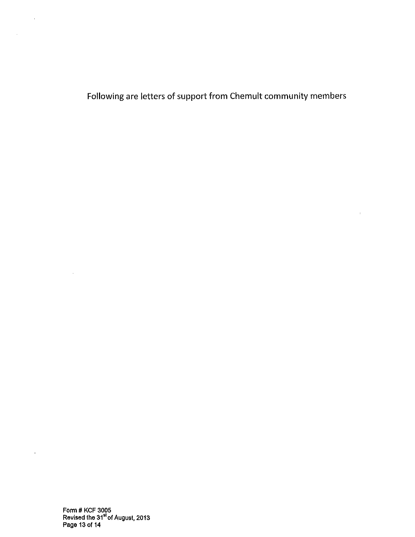Following are letters of support from Chemult community members

 $\sim 300$ 

Form# KCF 3005 Revised the 31<sup>st</sup> of August, 2013 Page 13 of 14

**Contractor** 

 $\Delta \sim 10^{-1}$ 

 $\sim 10^7$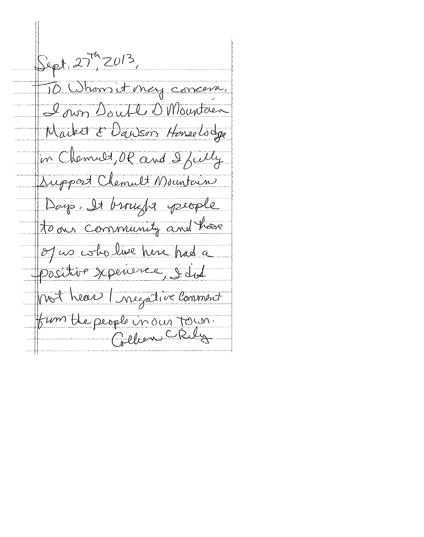Sept. 27th 2013, 10 Whom it may concern. I own Souble D Mountain Market & Danson Honselsdge in Chemilt, OR and I fielly Support Clement Mountain Days. It brought people to our community and have of us estolive here had a Positive xperience, I dot not hear (negative Comment fum the people in our Town.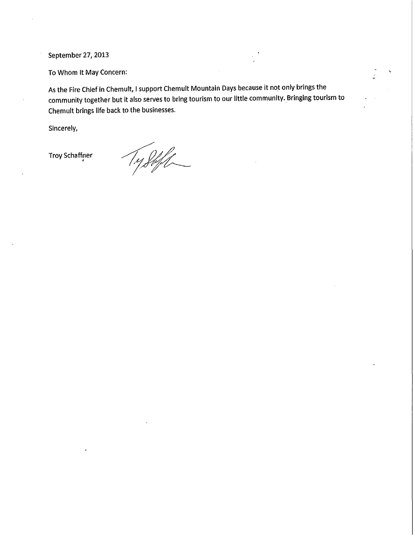September 27, 2013

To Whom It May Concern:

As the Fire Chief in Chemult, I support Chemult Mountain Days because it not only brings the community together but it also serves to bring tourism to our little community. Bringing tourism to Chemult brings life back to the businesses.

Sincerely,

Troy Schaffner<br>'

Ty Steft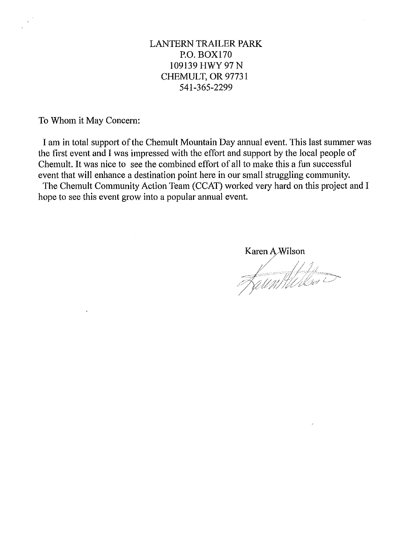### LANTERN TRAILER PARK P.O. BOX170 109139 HWY 97 N CHEMULT, OR 97731 541-365-2299

To Whom it May Concern:

I am in total support of the Chemult Mountain Day annual event. This last summer was the first event and I was impressed with the effort and support by the local people of Chemult. It was nice to see the combined effort of all to make this a fun successful event that will enhance a destination point here in our small struggling community.

The Chemult Community Action Team (CCAT) worked very hard on this project and I hope to see this event grow into a popular annual event.

Karen A Wilson

<u>faun fil ikra</u>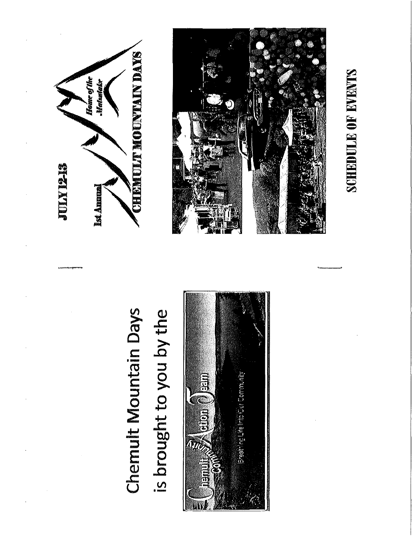

## Chemult Mountain Days is brought to you by the





# **SCHEDULE OF EVENTS**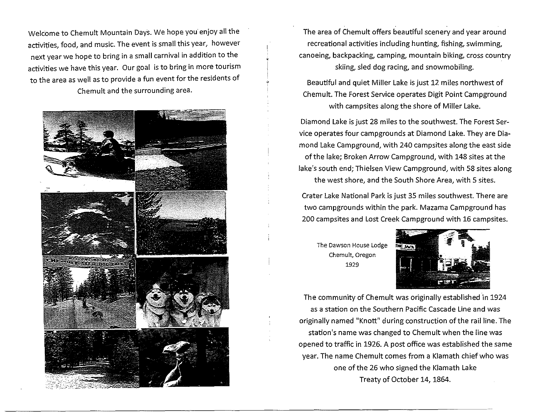Welcome to Chemult Mountain Days. We hope you enjoy all the activities, food, and music. The event is small this year, however next year we hope to bring in a small carnival in addition to the activities we have this year. Our goal is to bring in more tourism to the area as well as to provide a fun event for the residents of Chemult and the surrounding area.



The area of Chemult offers beautiful scenery and year around recreational activities including hunting, fishing, swimming, canoeing, backpacking, camping, mountain biking, cross country skiing, sled dog racing, and snowmobiling.

Beautiful and quiet Miller Lake is just 12 miles northwest of Chemult. The Forest Service operates Digit Point Campground with campsites along the shore of Miller Lake.

Diamond Lake is just 28 miles to the southwest. The Forest Service operates four campgrounds at Diamond Lake. They are Diamond Lake Campground, with 240 campsites along the east side of the lake; Broken Arrow Campground, with 148 sites at the lake's south end; Thielsen View Campground, with 58 sites along the west shore, and the South Shore Area, with 5 sites.

Crater Lake National Park is just 35 miles southwest. There are two campgrounds within the park. Mazama Campground has 200 campsites and Lost Creek Campground with 16 campsites.

The Dawson House Lodge Chemult, Oregon 1929



The community of Chemult was originally established in 1924 as a station on the Southern Pacific Cascade Line and was originally named "Knott" during construction of the rail line. The station's name was changed to Chemult when the line was opened to traffic in 1926. A post office was established the same year. The name Chemult comes from a Klamath chief who was one of the 26 who signed the Klamath Lake Treaty of October 14, 1864.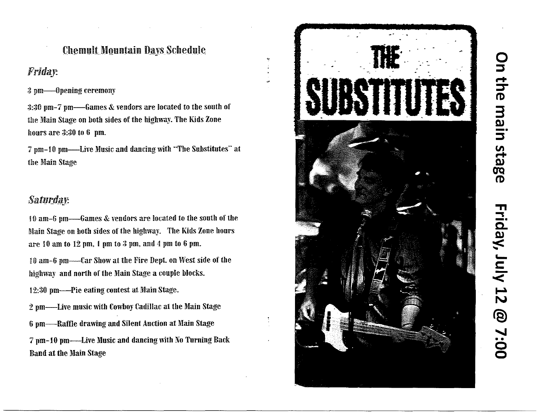### **Chemult Mountain Days Schedule**

 $\ddot{\phantom{a}}$ 

**Friday.** 

3 pm——Opening ceremony

3:30 pm-7 pm--------Games & vendors are located to the south of the Main Stage on both sides of the highway. The Kids Zone hours are 3:30 to 6 pm.

7 pm-10 pm---Live Music and dancing with "The Substitutes" at the Main Stage

### Saturday.

Main Stage on both sides of the highway. The Kids Zone hours are 10 am to 12 pm, 1 pm to 3 pm, and 4 pm to 6 pm.

10 am-6 pm——Car Show at the Fire Dept. on West side of the highway and north of the Main Stage a couple blocks.

12:30 pm——Pie eating contest at Main Stage.

2 pm—Live music with Cowboy Cadillac at the Main Stage 6 pm—–Raffle drawing and Silent Auction at Main Stage 7 pm-10 pm-Live Music and dancing with No Turning Back **Band at the Main Stage** 

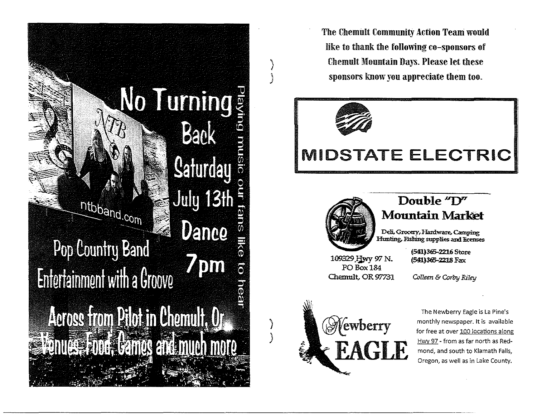

The Chemult Community Action Team would like to thank the following co-sponsors of Chemult Mountain Days. Please let these sponsors know you appreciate them too.



 $\bigg\}$ 

 $\int$ 

)

)

### IMIDSTATE ELECTRIC



### Double "D" **Mountain Market**

Deli, Grocery, Hardware, Camping Hunting, Fishing supplies and licenses

10932.9.lj.wy *W* N. POBox184 Chemult, OR 97731

*CcUeen* & *Corby Riley* 

(SR)365-2216 Store (SR)365-2218 Fax



The Newberry Eagle is La Pine's monthly newspaper. It is available for free at over 100 locations along Hwy 97 - from as far north as Redmond, and south to Klamath Falls, Oregon, as well as in Lake County.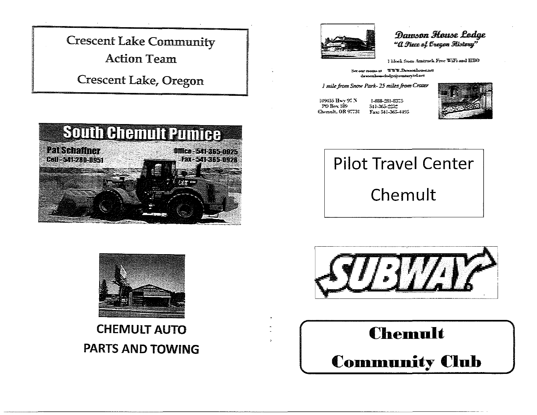

**Crescent Lake, Oregon** 





### Danson House Lodge "A Piece of Evegen History"

I have from Austrack Free Williamd HEO

See our rooms at WWW.Dawoodsome.act dawoonbeersbedgeig contary teleses

I mile from Snow Park-25 miles from Crater

109455 Hwy 97 N  $POBox 189$ Chemali, OR 97731 Fax: 541-365-4495

1-888-281-8375 541-365-2222



### **Pilot Travel Center** Chemult



### **CHEMULT AUTO PARTS AND TOWING**



### Chemult **Community Club**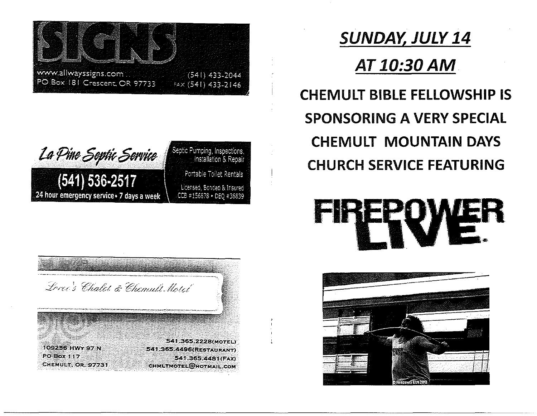



### Septic Pumping, Inspections,<br>Installation & Repair Portable Toilet Rentals Licensed, Bonded & Insured CCB #156878 + DEQ #36839

### SUNDAY, JULY 14 AT10:30AM.

### CHEMULT BIBLE FELLOWSHIP IS SPONSORING A VERY SPECIAl CHEMULT MOUNTAIN DAYS CHURCH SERVICE FEATURING

### **PERSON**



Lorce's Chalct & Chemult Motel

109256 HWY 97 N **PO Box 117** CHEMULT, OR. 97731

541.365.2228(MOTEL) 541.365.4496(RESTAURANT) 541.365.4481(FAX) CHMLTMOTEL@HOTMAIL.COM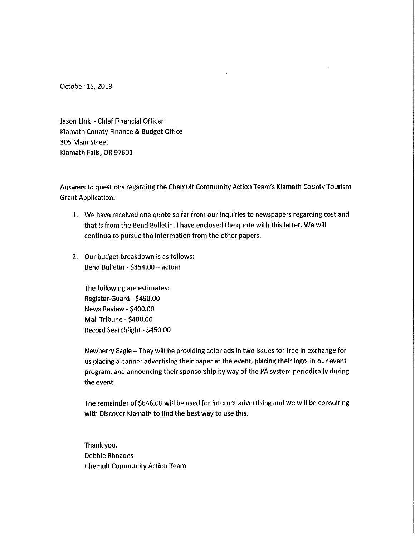October 15, 2013

Jason Link -Chief Financial Officer Klamath County Finance & Budget Office 305 Main Street Klamath Falls, OR 97601

Answers to questions regarding the Chemult Community Action Team's Klamath County Tourism Grant Application:

- 1. We have received one quote so far from our inquiries to newspapers regarding cost and that is from the Bend Bulletin. I have enclosed the quote with this letter. We will continue to pursue the information from the other papers.
- 2. Our budget breakdown is as follows: Bend Bulletin- \$354.00- actual

The following are estimates: Register-Guard- \$450.00 News Review - \$400.00 Mall Tribune- \$400.00 Record Searchlight- \$450.00

Newberry Eagle- They will be providing color ads In two Issues for free in exchange for us placing a banner advertising their paper at the event, placing their logo in our event program, and announcing their sponsorship by way of the PA system periodically during the event.

The remainder of \$646.00 will be used for internet advertising and we will be consulting with Discover Klamath to find the best way to use this.

Thank you, Debbie Rhoades Chemult Community Action Team